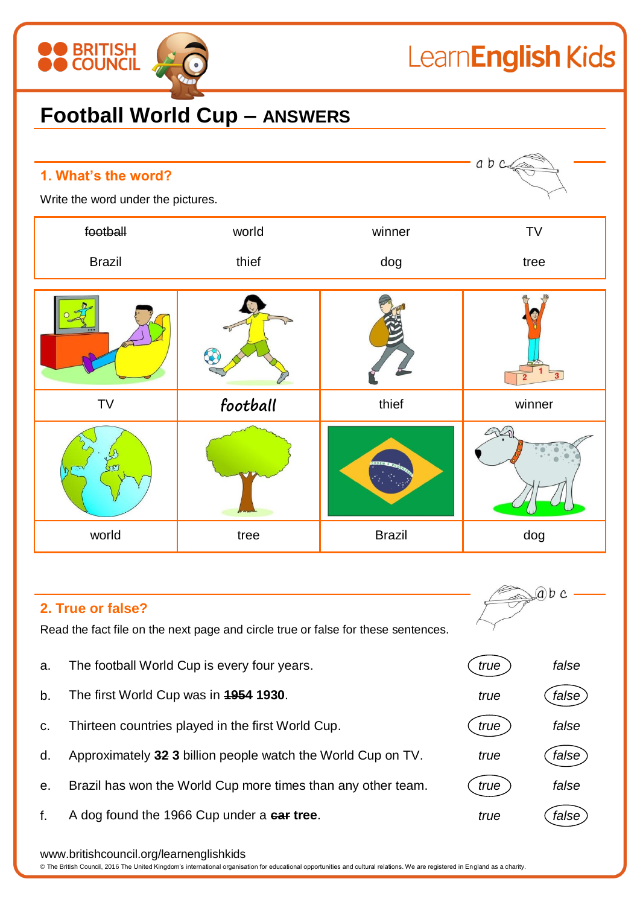## **BRITISH<br>COUNCIL** LearnEnglish Kids **Football World Cup – ANSWERS**

| 1. What's the word?<br>Write the word under the pictures. |          |               | abc    |
|-----------------------------------------------------------|----------|---------------|--------|
| football                                                  | world    | winner        | TV     |
| <b>Brazil</b>                                             | thief    | dog           | tree   |
|                                                           |          |               |        |
| TV                                                        | football | thief         | winner |
|                                                           |          |               |        |
| world                                                     | tree     | <b>Brazil</b> | dog    |

## **2. True or false?**

Read the fact file on the next page and circle true or false for these sentences.

- a. The football World Cup is every four years. *true false*
- b. The first World Cup was in **1954 1930**. *true false*
- c. Thirteen countries played in the first World Cup. *true false*
- d. Approximately **32 3** billion people watch the World Cup on TV. *true false*
- e. Brazil has won the World Cup more times than any other team. *true false*
- f. A dog found the 1966 Cup under a **car tree**. *true false*

## www.britishcouncil.org/learnenglishkids

© The British Council, 2016 The United Kingdom's international organisation for educational opportunities and cultural relations. We are registered in England as a charity.